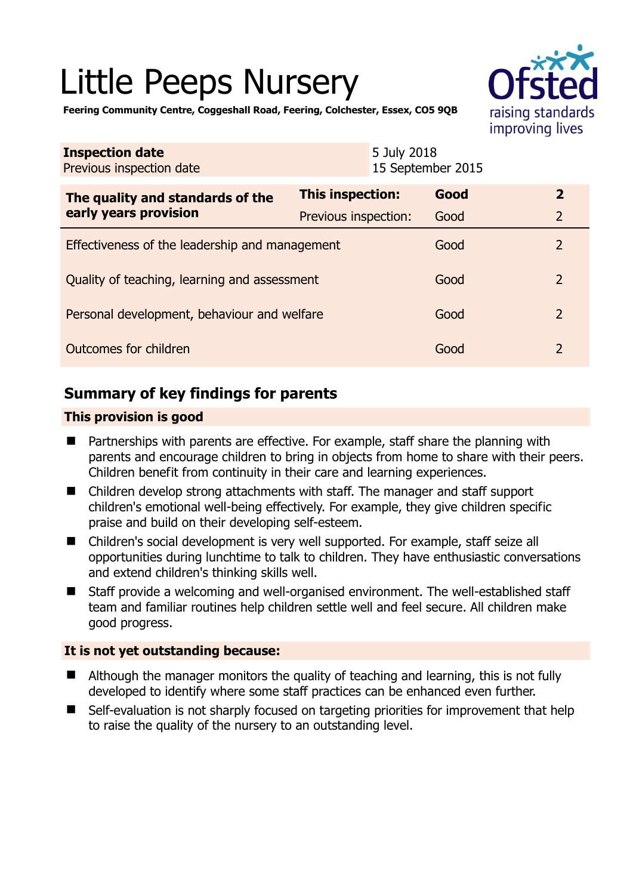# Little Peeps Nursery



**Feering Community Centre, Coggeshall Road, Feering, Colchester, Essex, CO5 9QB** 

| <b>Inspection date</b><br>Previous inspection date        | 5 July 2018<br>15 September 2015 |  |      |                |
|-----------------------------------------------------------|----------------------------------|--|------|----------------|
| The quality and standards of the<br>early years provision | This inspection:                 |  | Good | $\overline{2}$ |
|                                                           | Previous inspection:             |  | Good | $\overline{2}$ |
| Effectiveness of the leadership and management            |                                  |  | Good | $\overline{2}$ |
| Quality of teaching, learning and assessment              |                                  |  | Good | $\mathcal{P}$  |
| Personal development, behaviour and welfare               |                                  |  | Good | $\mathcal{P}$  |
| Outcomes for children                                     |                                  |  | Good | $\mathcal{P}$  |

# **Summary of key findings for parents**

# **This provision is good**

- Partnerships with parents are effective. For example, staff share the planning with parents and encourage children to bring in objects from home to share with their peers. Children benefit from continuity in their care and learning experiences.
- Children develop strong attachments with staff. The manager and staff support children's emotional well-being effectively. For example, they give children specific praise and build on their developing self-esteem.
- Children's social development is very well supported. For example, staff seize all opportunities during lunchtime to talk to children. They have enthusiastic conversations and extend children's thinking skills well.
- Staff provide a welcoming and well-organised environment. The well-established staff team and familiar routines help children settle well and feel secure. All children make good progress.

## **It is not yet outstanding because:**

- Although the manager monitors the quality of teaching and learning, this is not fully developed to identify where some staff practices can be enhanced even further.
- Self-evaluation is not sharply focused on targeting priorities for improvement that help to raise the quality of the nursery to an outstanding level.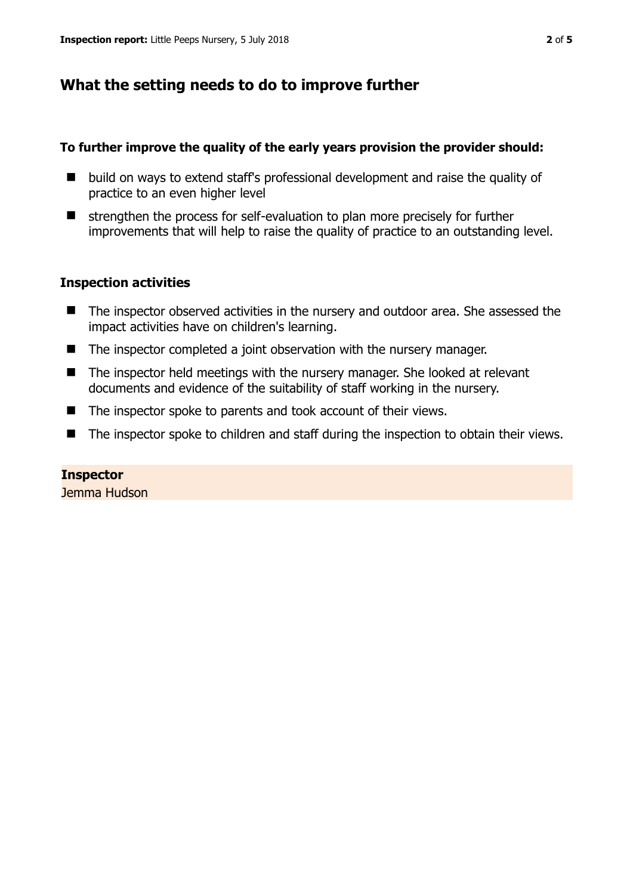# **What the setting needs to do to improve further**

# **To further improve the quality of the early years provision the provider should:**

- $\blacksquare$  build on ways to extend staff's professional development and raise the quality of practice to an even higher level
- $\blacksquare$  strengthen the process for self-evaluation to plan more precisely for further improvements that will help to raise the quality of practice to an outstanding level.

# **Inspection activities**

- The inspector observed activities in the nursery and outdoor area. She assessed the impact activities have on children's learning.
- The inspector completed a joint observation with the nursery manager.
- The inspector held meetings with the nursery manager. She looked at relevant documents and evidence of the suitability of staff working in the nursery.
- The inspector spoke to parents and took account of their views.
- The inspector spoke to children and staff during the inspection to obtain their views.

#### **Inspector**  Jemma Hudson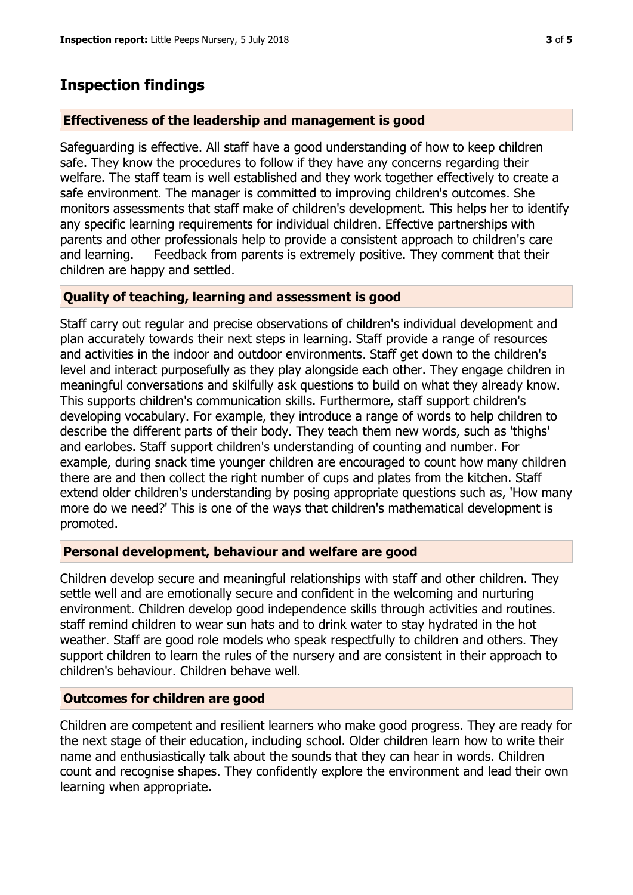# **Inspection findings**

# **Effectiveness of the leadership and management is good**

Safeguarding is effective. All staff have a good understanding of how to keep children safe. They know the procedures to follow if they have any concerns regarding their welfare. The staff team is well established and they work together effectively to create a safe environment. The manager is committed to improving children's outcomes. She monitors assessments that staff make of children's development. This helps her to identify any specific learning requirements for individual children. Effective partnerships with parents and other professionals help to provide a consistent approach to children's care and learning. Feedback from parents is extremely positive. They comment that their children are happy and settled.

## **Quality of teaching, learning and assessment is good**

Staff carry out regular and precise observations of children's individual development and plan accurately towards their next steps in learning. Staff provide a range of resources and activities in the indoor and outdoor environments. Staff get down to the children's level and interact purposefully as they play alongside each other. They engage children in meaningful conversations and skilfully ask questions to build on what they already know. This supports children's communication skills. Furthermore, staff support children's developing vocabulary. For example, they introduce a range of words to help children to describe the different parts of their body. They teach them new words, such as 'thighs' and earlobes. Staff support children's understanding of counting and number. For example, during snack time younger children are encouraged to count how many children there are and then collect the right number of cups and plates from the kitchen. Staff extend older children's understanding by posing appropriate questions such as, 'How many more do we need?' This is one of the ways that children's mathematical development is promoted.

## **Personal development, behaviour and welfare are good**

Children develop secure and meaningful relationships with staff and other children. They settle well and are emotionally secure and confident in the welcoming and nurturing environment. Children develop good independence skills through activities and routines. staff remind children to wear sun hats and to drink water to stay hydrated in the hot weather. Staff are good role models who speak respectfully to children and others. They support children to learn the rules of the nursery and are consistent in their approach to children's behaviour. Children behave well.

## **Outcomes for children are good**

Children are competent and resilient learners who make good progress. They are ready for the next stage of their education, including school. Older children learn how to write their name and enthusiastically talk about the sounds that they can hear in words. Children count and recognise shapes. They confidently explore the environment and lead their own learning when appropriate.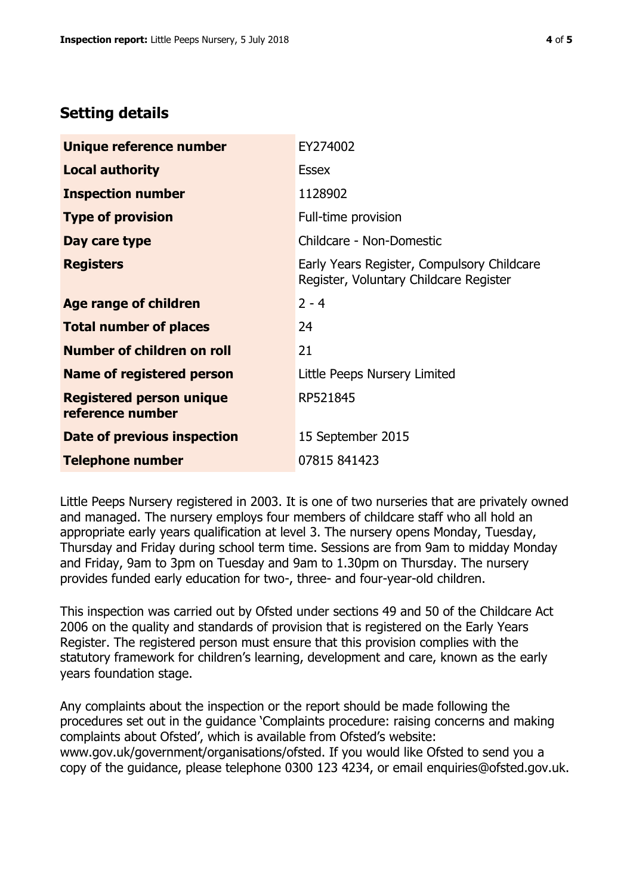# **Setting details**

| Unique reference number                             | EY274002                                                                             |  |
|-----------------------------------------------------|--------------------------------------------------------------------------------------|--|
| <b>Local authority</b>                              | <b>Essex</b>                                                                         |  |
| <b>Inspection number</b>                            | 1128902                                                                              |  |
| <b>Type of provision</b>                            | Full-time provision                                                                  |  |
| Day care type                                       | Childcare - Non-Domestic                                                             |  |
| <b>Registers</b>                                    | Early Years Register, Compulsory Childcare<br>Register, Voluntary Childcare Register |  |
| Age range of children                               | $2 - 4$                                                                              |  |
| <b>Total number of places</b>                       | 24                                                                                   |  |
| Number of children on roll                          | 21                                                                                   |  |
| Name of registered person                           | Little Peeps Nursery Limited                                                         |  |
| <b>Registered person unique</b><br>reference number | RP521845                                                                             |  |
| Date of previous inspection                         | 15 September 2015                                                                    |  |
| <b>Telephone number</b>                             | 07815 841423                                                                         |  |

Little Peeps Nursery registered in 2003. It is one of two nurseries that are privately owned and managed. The nursery employs four members of childcare staff who all hold an appropriate early years qualification at level 3. The nursery opens Monday, Tuesday, Thursday and Friday during school term time. Sessions are from 9am to midday Monday and Friday, 9am to 3pm on Tuesday and 9am to 1.30pm on Thursday. The nursery provides funded early education for two-, three- and four-year-old children.

This inspection was carried out by Ofsted under sections 49 and 50 of the Childcare Act 2006 on the quality and standards of provision that is registered on the Early Years Register. The registered person must ensure that this provision complies with the statutory framework for children's learning, development and care, known as the early years foundation stage.

Any complaints about the inspection or the report should be made following the procedures set out in the guidance 'Complaints procedure: raising concerns and making complaints about Ofsted', which is available from Ofsted's website: www.gov.uk/government/organisations/ofsted. If you would like Ofsted to send you a copy of the guidance, please telephone 0300 123 4234, or email enquiries@ofsted.gov.uk.